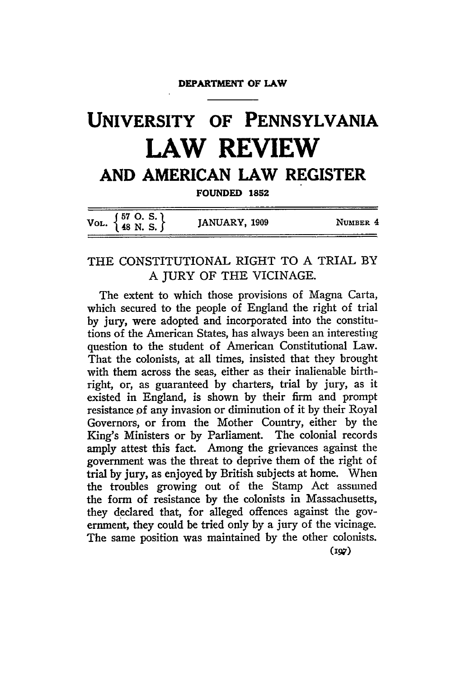## **DEPARTMENT OF LAW**

## **UNIVERSITY OF PENNSYLVANIA LAW REVIEW AND AMERICAN LAW REGISTER**

**FOUNDED 1852**

| Vol. $\left\{\begin{array}{c} 57 & O. \text{ S.} \\ 48 & \text{N. S.} \end{array}\right\}$ | JANUARY, 1909 | NUMBER 4 |
|--------------------------------------------------------------------------------------------|---------------|----------|
|                                                                                            |               |          |

## THE CONSTITUTIONAL RIGHT TO **A** TRIAL BY **A** JURY OF THE VICINAGE.

The extent to which those provisions of Magna Carta, which secured to the people of England the right of trial **by** jury, were adopted and incorporated into the constitutions of the American States, has always been an interesting question to the student of American Constitutional Law. That the colonists, at all times, insisted that they brought with them across the seas, either as their inalienable birthright, or, as guaranteed by charters, trial by jury, as it existed in England, is shown by their firm and prompt resistance of any invasion or diminution of it by their Royal Governors, or from the Mother Country, either by the King's Ministers or by Parliament. The colonial records amply attest this fact. Among the grievances against the government was the threat to deprive them of the right of trial by jury, as enjoyed by British subjects at home. When the troubles growing out of the Stamp Act assumed the form of resistance **by** the colonists in Massachusetts, they declared that, for alleged offences against the government, they could be tried only **by** a jury of the vicinage. The same position was maintained **by** the other colonists.

 $(197)$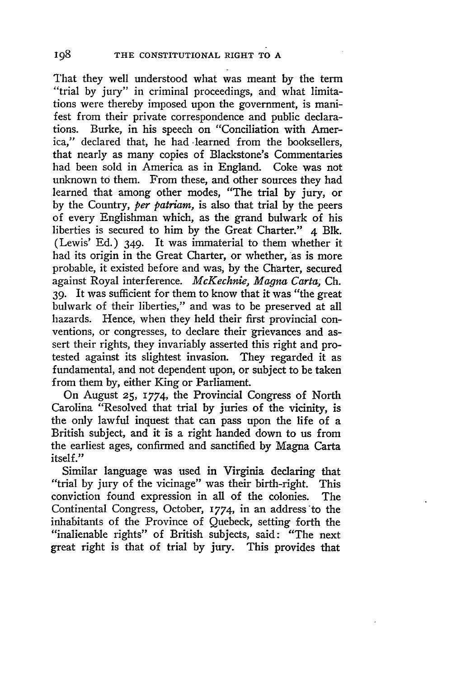That they well understood what was meant by the term "trial by jury" in criminal proceedings, and what limitations were thereby imposed upon the government, is manifest from their private correspondence and public declarations. Burke, in his speech on "Conciliation with America," declared that, he had -learned from the booksellers, that nearly as many copies of Blackstone's Commentaries had been sold in America as in England. Coke was not unknown to them. From these, and other sources they had learned that among other modes, "The trial by jury, or by the Country, *per patriam,* is also that trial by the peers of every Englishman which, as the grand bulwark of his liberties is secured to him by the Great Charter." 4 Blk. (Lewis' Ed.) 349. It was immaterial to them whether it had its origin in the Great Charter, or whether, as is more probable, it existed before and was, by the Charter, secured against Royal interference. *McKechnie, Magna Carta,* **Ch.** 39. It was sufficient for them to know that it was "the great bulwark of their liberties," and was to be preserved at all hazards. Hence, when they held their first provincial conventions, or congresses, to declare their grievances and assert their rights, they invariably asserted this right and protested against its slightest invasion. They regarded it as fundamental, and not dependent upon, or subject to be taken from them by, either King or Parliament.

On August **25, 1774,** the Provincial Congress of North Carolina "Resolved that trial by juries of the vicinity, is the only lawful inquest that can pass upon the life of a British subject, and it is a right handed down to us from the earliest ages, confirmed and sanctified by Magna Carta itself."

Similar language was used in Virginia declaring that "trial by jury of the vicinage" was their birth-right. This conviction found expression in all of the colonies. The Continental Congress, October, 1774, in an address to the inhabitants of the Province of Quebeck, setting forth the "inalienable rights" of British subjects, said: "The next great right is that of trial by jury. This provides that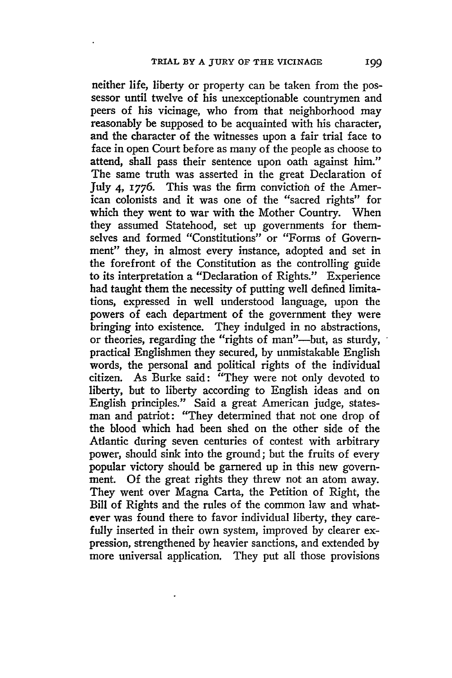neither life, liberty or property can be taken from the possessor until twelve of his unexceptionable countrymen and peers of his vicinage, who from that neighborhood may reasonably be supposed to be acquainted with his character, and the character of the witnesses upon a fair trial face to face in open Court before as many of the people as choose to attend, shall pass their sentence upon oath against him." The same truth was asserted in the great Declaration of *July* 4, 1776. This was the firm conviction of the American colonists and it was one of the "sacred rights" for which they went to war with the Mother Country. When they assumed Statehood, set up governments for themselves and formed "Constitutions" or "Forms of Government" they, in almost every instance, adopted and set in the forefront of the Constitution as the controlling guide to its interpretation a "Declaration of Rights." Experience had taught them the necessity of putting well defined limitations, expressed in well understood language, upon the powers of each department of the government they were bringing into existence. They indulged in no abstractions, or theories, regarding the "rights of man"-but, as sturdy, practical Englishmen they secured, by unmistakable English words, the personal and political rights of the individual citizen. As Burke said: "They were not only devoted to liberty, but to liberty according to English ideas and on English principles." Said a great American judge, statesman and patriot: "They determined that not one drop of the blood which had been shed on the other side of the Atlantic during seven centuries of contest with arbitrary power, should sink into the ground; but the fruits of every popular victory should be garnered up in this new government. Of the great rights they threw not an atom away. They went over Magna Carta, the Petition of Right, the Bill of Rights and the rules of the common law and whatever was found there to favor individual liberty, they carefully inserted in their own system, improved by clearer expression, strengthened by heavier sanctions, and extended by more universal application. They put all those provisions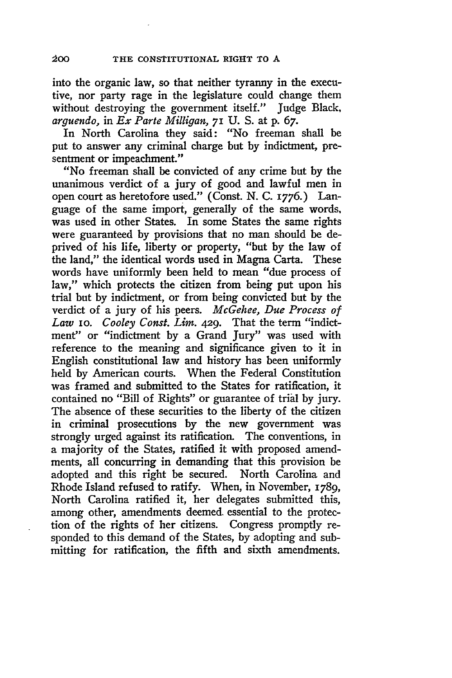into the organic law, so that neither tyranny in the executive, nor party rage in the legislature could change them without destroying the government itself." Judge Black, *arguendo,* in Ex *Parte Milligan,* 71 **U.** S. at p. 67.

In North Carolina they said: "No freeman shall be put to answer any criminal charge but by indictment, presentment or impeachment."

"No freeman shall be convicted of any crime but by the unanimous verdict of a jury of good and lawful men in open court as heretofore used." (Const. N. C. 1776.) Language of the same import, generally of the same words, was used in other States. In some States the same rights were guaranteed by provisions that no man should be deprived of his life, liberty or property, "but by the law of the land," the identical words used in Magna Carta. These words have uniformly been held to mean "due process of law," which protects the citizen from being put upon his trial but by indictment, or from being convicted but by the verdict of a jury of his peers. *McGehee, Due Process of Law* io. *Cooley Const. Lim.* 429. That the term "indictment" or "indictment by a Grand Jury" was used with reference to the meaning and significance given to it in English constitutional law and history has been uniformly held by American courts. When the Federal Constitution was framed and submitted to the States for ratification, it contained no "Bill of Rights" or guarantee of trial by jury. The absence of these securities to the liberty of the citizen in criminal prosecutions by the new government was strongly urged against its ratification. The conventions, in a majority of the States, ratified it with proposed amendments, all concurring in demanding that this provision be adopted and this right be secured. North Carolina and Rhode Island refused to ratify. When, in November, **1789,** North Carolina ratified it, her delegates submitted this, among other, amendments deemed, essential to the protection of the rights of her citizens. Congress promptly responded to this demand of the States, by adopting and submitting for ratification, the fifth and sixth amendments.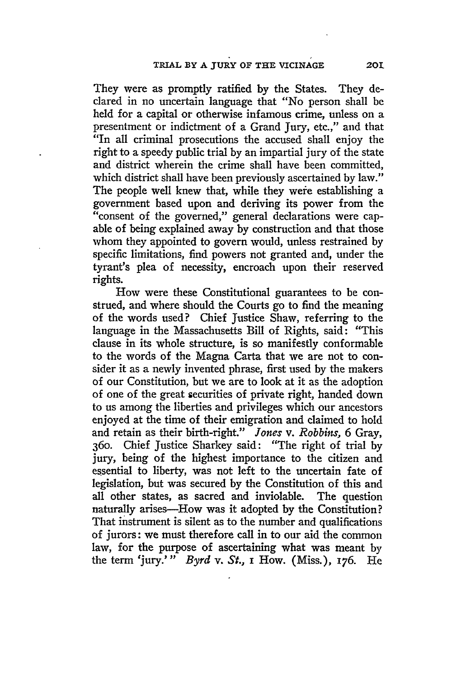They were as promptly ratified by the States. They declared in no uncertain language that "No person shall be held for a capital or otherwise infamous crime, unless on a presentment or indictment of a Grand Jury, etc.," and that "In all criminal prosecutions the accused shall enjoy the right to a speedy public trial by an impartial jury of the state and district wherein the crime shall have been committed, which district shall have been previously ascertained by law." The people well knew that, while they were establishing a government based upon and deriving its power from the "consent of the governed," general declarations were capable of being explained away by construction and that those whom they appointed to govern would, unless restrained by specific limitations, find powers not granted and, under the tyrant's plea of necessity, encroach upon their reserved rights.

How were these Constitutional guarantees to be construed, and where should the Courts go to find the meaning of the words used? Chief Justice Shaw, referring to the language in the Massachusetts Bill of Rights, said: "This clause in its whole structure, is so manifestly conformable to the words of the Magna Carta that we are not to consider it as a newly invented phrase, first used by the makers of our Constitution, but we are to look at it as the adoption of one of the great securities of private right, handed down to us among the liberties and privileges which our ancestors enjoyed at the time of their emigration and claimed to hold and retain as their birth-right." *Jones v. Robbins,* 6 Gray, 36o. Chief Justice Sharkey said: "The right of trial by jury, being of the highest importance to the citizen and essential to liberty, was not left to the uncertain fate of legislation, but was secured by the Constitution of this and all other states, as sacred and inviolable. The question naturally arises-How was it adopted by the Constitution? That instrument is silent as to the number and qualifications of jurors: we must therefore call in to our aid the common law, for the purpose of ascertaining what was meant by the term 'jury.'" *Byrd v. St.,* I How. (Miss.), 176. He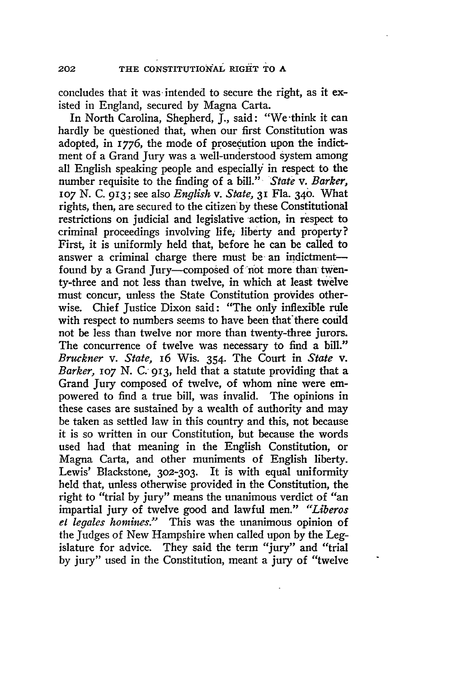concludes that it was intended to secure the right, as it existed in England, secured by Magna Carta.

In North Carolina, Shepherd, J., said: "We-think it can hardly be questioned that, when our first Constitution was adopted, in 1776, the mode of prosecution upon the indictment of a Grand Jury was a well-understood system among all English speaking people and especially in respect to the number requisite to the finding of a bill." *State v. Barker,* lO7 N. C. 913; see also *English v. State,* 31 Fla. **340.** What rights, then, are secured to the citizen by these Constitutional restrictions on judicial and legislative action, in respect to criminal proceedings involving life; liberty and property? First, it is uniformly held that, before he can be called to answer a criminal charge there must be an indictmentfound by a Grand Jury--composed of not more than twenty-three and not less than twelve, in which at least twelve must concur, unless the State Constitution provides otherwise. Chief Justice Dixon said: "The only inflexible rule with respect to numbers seems to have been that there could not be less than twelve nor more than twenty-three jurors. The concurrence of twelve was necessary to find a bill." *Bruckner v. State,* 16 Wis. 354. The Court in *State v. Barker, 107* N. C: 913, held that a statute providing that a Grand Jury composed of twelve, of whom nine were empowered to find a true bill, was invalid. The opinions in these cases are sustained by a wealth of authority and may be taken as settled law in this country and this, not because it is so written in our Constitution, but because the words used had that meaning in the English Constitution, or Magna Carta, and other muniments of English liberty. Lewis' Blackstone, **302-303.** It is with equal uniformity held that, unless otherwise provided in the Constitution, the right to "trial by jury" means the unanimous verdict of "an impartial jury of twelve good and lawful men." *"Liberos el legales homines."* This was the unanimous opinion of the Judges of New Hampshire when called upon by the Legislature for advice. They said the term "jury" and "trial by jury" used in the Constitution, meant a jury of "twelve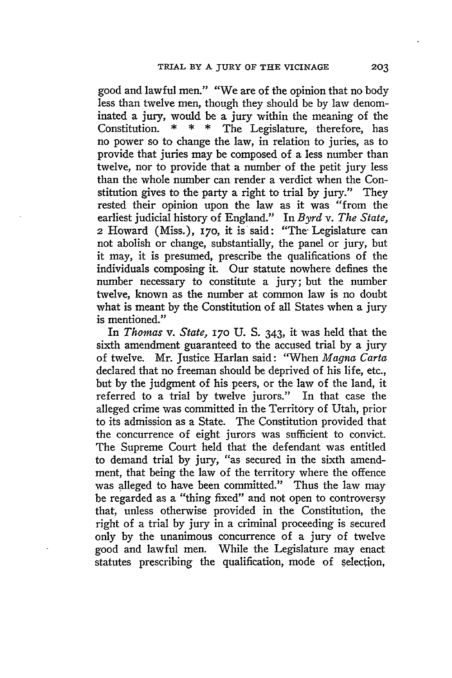good and lawful men." "We are of the opinion that no body less than twelve men, though they should be **by** law denominated a jury, would be a jury within the meaning of the Constitution. **\* \* \*** The Legislature, therefore, has no power so to change the law, in relation to juries, as to provide that juries may be composed of a less number than twelve, nor to provide that a number of the petit jury less than the whole number can render a verdict when the Constitution gives to the party a right to trial **by** jury." They rested their opinion upon the law as it was "from the earliest judicial history of England." In *Byrd v. The State,* **2** Howard (Miss.), **170,** it **is'** said: "The Legislature can not abolish or change, substantially, the panel or jury, but it may, it is presumed, prescribe the qualifications of the individuals composing it. Our statute nowhere defines the number necessary to constitute a jury; but the number twelve, known as the number at common law is no doubt what is meant **by** the Constitution of all States when a jury is mentioned."

In *Thomas v. State,* **170 U. S.** 343, it was held that the sixth amendment guaranteed to the accused trial **by** a jury of twelve. Mr. Justice Harlan said: "When *Magna Carta* declared that no freeman should be deprived of his life, etc., but **by** the judgment of his peers, or the **law** of the land, it referred to a trial **by** twelve jurors." In that case the alleged crime was committed in the Territory of Utah, prior to its admission as a State. The Constitution provided that the concurrence of eight jurors was sufficient to convict. The Supreme Court held that the defendant was entitled to demand trial **by** jury, "as secured in the sixth amendment, that being the law of the territory where the offence was alleged to have been committed." Thus the law may be regarded as a "thing fixed" and not open to controversy that, unless otherwise provided in the Constitution, the right of a trial **by** jury in a criminal proceeding is secured only **by** the unanimous concurrence of a jury of twelve good and lawful men. While the Legislature may enact statutes prescribing the qualification, mode of selection,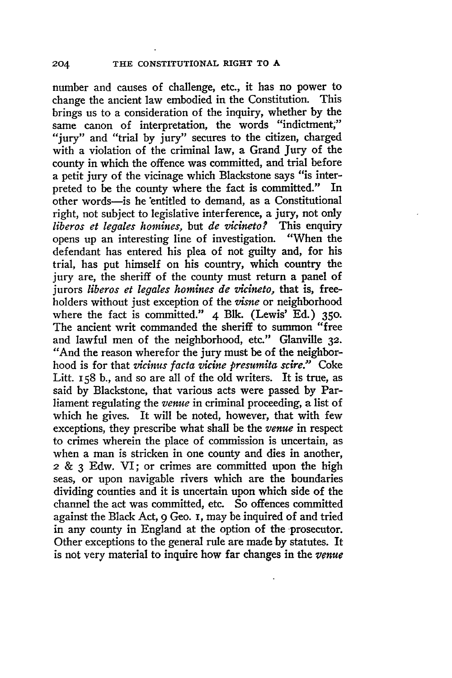number and causes of challenge, etc., it has no power to change the ancient law embodied in the Constitution. This brings us to a consideration of the inquiry, whether **by** the same canon of interpretation, the words "indictment," "jury" and "trial **by** jury" secures to the citizen, charged with a violation of the criminal law, a Grand Jury of the county in which the offence was committed, and trial before a petit jury of the vicinage which Blackstone says "is interpreted to be the county where the fact is committed." In other words-is he "entitled to demand, as a Constitutional right, not subject to legislative interference, a jury, not only *liberos et legales homines,* but *de vicineto?* This enquiry opens up an interesting line of investigation. "When the defendant has entered his plea of not guilty and, for his trial, has put himself on his country, which country the jury are, the sheriff of the county must return a panel of jurors *liberos et legales homines de vicineto,* that is, freeholders without just exception of the *visne* or neighborhood where the fact is committed." 4 **Blk.** (Lewis' Ed.) **350.** The ancient writ commanded the sheriff to summon "free and lawful men of the neighborhood, etc." Glanville **32.** "And the reason wherefor the jury must be of the neighborhood is for that *vicinus facta vicine presumita scire."* Coke Litt. 158 **b.,** and so are all of the old writers. It is true, as said **by** Blackstone, that various acts were passed **by** Parliament regulating the *venue* in criminal proceeding, a list of which he gives. It will be noted, however, that with few exceptions, they prescribe what shall be the *venue* in respect to crimes wherein the place of commission is uncertain, as when a man is stricken in one county and dies in another, 2 & **3** Edw. VI; or crimes are committed upon the high seas, or upon navigable rivers which are the boundaries dividing counties and it is uncertain upon which side of the channel the act was committed, etc. So offences committed against the Black Act, 9 Geo. I, may be inquired of and tried in any county in England at the option of the prosecutor. Other exceptions to the general rule are made **by** statutes. It is not very material to inquire how far changes in the *venue*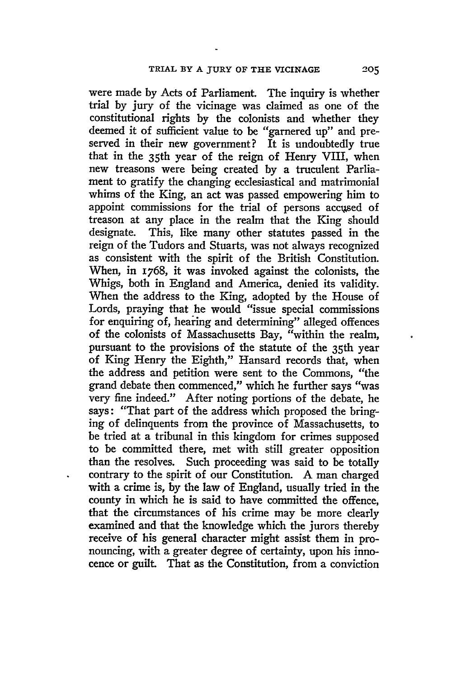were made by Acts of Parliament. The inquiry is whether trial by jury of the vicinage was claimed as one of the constitutional rights by the colonists and whether they deemed it of sufficient value to be "garnered up" and preserved in their new government? It is undoubtedly true that in the 35th year of the reign of Henry VIII, when new treasons were being created by a truculent Parliament to gratify the changing ecclesiastical and matrimonial whims of the King, an act was passed empowering him to appoint commissions for the trial of persons accused of treason at any place in the realm that the King should designate. This, like many other statutes passed in the reign of the Tudors and Stuarts, was not always recognized as consistent with the spirit of the British Constitution. When, in 1768, it was invoked against the colonists, the Whigs, both in England and America, denied its validity. When the address to the King, adopted by the House of Lords, praying that he would "issue special commissions for enquiring of, hearing and determining" alleged offences of the colonists of Massachusetts Bay, "within the realm, pursuant to the provisions of the statute of the 35th year of King Henry the Eighth," Hansard records that, when the address and petition were sent to the Commons, "the grand debate then commenced," which he further says "was very fine indeed." After noting portions of the debate, he says: "That part of the address which proposed the bringing of delinquents from the province of Massachusetts, to be tried at a tribunal in this kingdom for crimes supposed to be committed there, met with still greater opposition than the resolves. Such proceeding was said to be totally contrary to the spirit of our Constitution. A man charged with a crime is, by the law of England, usually tried in the county in which he is said to have committed the offence, that the circumstances of his crime may be more clearly examined and that the knowledge which the jurors thereby receive of his general character might assist them in pronouncing, with a greater degree of certainty, upon his innocence or guilt. That as the Constitution, from a conviction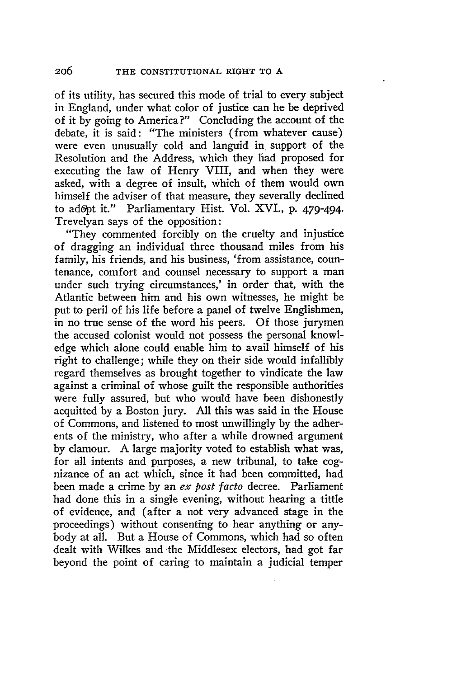of its utility, has secured this mode of trial to every subject in England, under what color of justice can he be deprived of it by going to America?" Concluding the account of the debate, it is said: "The ministers (from whatever cause) were even unusually cold and languid in support of the Resolution and the Address, which they had proposed for executing the law of Henry VIII, and when they were asked, with a degree of insult, which of them would own himself the adviser of that measure, they severally declined to ad6pt it." Parliamentary Hist. Vol. XVI., p. 479-494. Trevelyan says of the opposition:

"They commented forcibly on the cruelty and injustice of dragging an individual three thousand miles from his family, his friends, and his business, 'from assistance, countenance, comfort and counsel necessary to support a man under such trying circumstances,' in order that, with the Atlantic between him and his own witnesses, he might be put to peril of his life before a panel of twelve Englishmen, in no true sense of the word his peers. Of those jurymen the accused colonist would not possess the personal knowledge which alone could enable him to avail himself of his right to challenge; while they on their side would infallibly regard themselves as brought together to vindicate the law against a criminal of whose guilt the responsible authorities were fully assured, but who would have been dishonestly acquitted by a Boston jury. All this was said in the House of Commons, and listened to most unwillingly by the adherents of the ministry, who after a while drowned argument by clamour. A large majority voted to establish what was, for all intents and purposes, a new tribunal, to take cognizance of an act which, since it had been committed, had been made a crime by an *ex post facto* decree. Parliament had done this in a single evening, without hearing a tittle of evidence, and (after a not very advanced stage in the proceedings) without consenting to hear anything or anybody at all. But a House of Commons, which had so often dealt with Wilkes and the Middlesex electors, had got far beyond the point of caring to maintain a judicial temper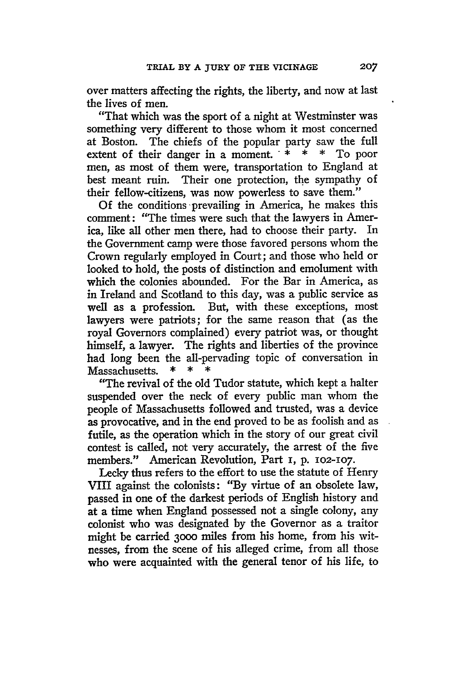over matters affecting the rights, the liberty, and now at last the lives of men.

"That which was the sport of a night at Westminster was something very different to those whom it most concerned at Boston. The chiefs of the popular party saw the full extent of their danger in a moment.  $* * * T<sub>0</sub>$  poor men, as most of them were, transportation to England at best meant ruin. Their one protection, the sympathy of their fellow-citizens, was now powerless to save them."

Of the conditions prevailing in America, he makes this comment: "The times were such that the lawyers in America, like all other men there, had to choose their party. In the Government camp were those favored persons whom the Crown regularly employed in Court; and those who held or looked to hold, the posts of distinction and emolument with which the colonies abounded. For the Bar in America, as in Ireland and Scotland to this day, was a public service as well as a profession. But, with these exceptions, most lawyers were patriots; for the same reason that (as the royal Governors complained) every patriot was, or thought himself, a lawyer. The rights and liberties of the province had long been the all-pervading topic of conversation in Massachusetts. **\* \* \***

"The revival of the old Tudor statute, which kept a halter suspended over the neck of every public man whom the people of Massachusetts followed and trusted, was a device as provocative, and in the end proved to be as foolish and as futile, as the operation which in the story of our great civil contest is called, not very accurately, the arrest of the five members." American Revolution, Part **I,** p. **102-107.**

Lecky thus refers to the effort to use the statute of Henry VIII against the colonists: **"By** virtue of an obsolete law, passed in one of the darkest periods of English history and at a time when England possessed not a single colony, any colonist who was designated by the Governor as a traitor might be carried **3000** miles from his home, from his witnesses, from the scene of his alleged crime, from all those who were acquainted with the general tenor of his life, to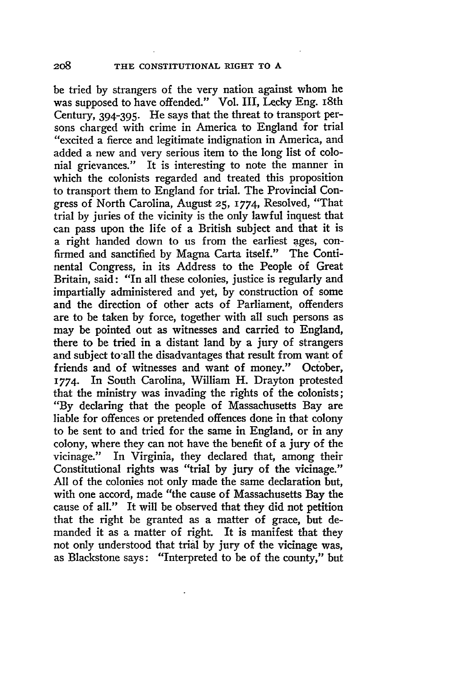be tried by strangers of the very nation against whom he was supposed to have offended." Vol. III, Lecky Eng. 18th Century, 394-395. He says that the threat to transport persons charged with crime in America to England for trial "excited a fierce and legitimate indignation in America, and added a new and very serious item to the long list of colonial grievances." It is interesting to note the manner in which the colonists regarded and treated this proposition to transport them to England for trial. The Provincial Congress of North Carolina, August **25, 1774,** Resolved, "That trial by juries of the vicinity is the only lawful inquest that can pass upon the life of a British subject and that it is a right handed down to us from the earliest ages, confirmed and sanctified **by** Magna Carta itself." The Continental Congress, in its Address to the People of Great Britain, said: "In all these colonies, justice is regularly and impartially administered and yet, by construction of some and the direction of other acts of Parliament, offenders are to be taken by force, together with all such persons as may be pointed out as witnesses and carried to England, there to be tried in a distant land by a jury of strangers and subject to-all the disadvantages that result from want of friends and of witnesses and want of money." October, **1774.** In South Carolina, William H. Drayton protested that the ministry was invading the rights of the colonists; **"By** declaring that the people of Massachusetts Bay are liable for offences or pretended offences done in that colony to be sent to and tried for the same in England, or in any colony, where they can not have the benefit of a jury of the vicinage." In Virginia, they declared that, among their Constitutional rights was "trial by jury of the vicinage." **All** of the colonies not only made the same declaration but, with one accord, made "the cause of Massachusetts Bay the cause of all." It will be observed that they did not petition that the right be granted as a matter of grace, but demanded it as a matter of right. It is manifest that they not only understood that trial by jury of the vicinage was, as Blackstone says: "Interpreted to be of the county," but

2o8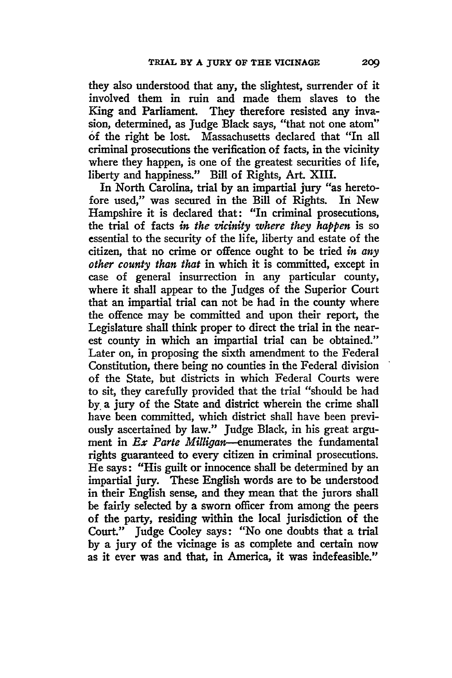they also understood that any, the slightest, surrender of it involved them in ruin and made them slaves to the King and Parliament. They therefore resisted any invasion, determined, as Judge Black says, "that not one atom" **of** the right be lost. Massachusetts declared that "In all criminal prosecutions the verification of facts, in the vicinity where they happen, is one of the greatest securities of life, liberty and happiness." Bill of Rights, Art. XIII.

In North Carolina, trial **by** an impartial jury "as heretofore used," was **secured** in the Bill of Rights. In New Hampshire it is declared that: "In criminal prosecutions, the trial of facts *in the vicinity where they happen* is so essential to the security of the life, liberty and estate of the citizen, that no crime or offence ought to be tried *in any other county than that* in which it is committed, except in case of general insurrection in any particular county, where it shall appear to the Judges of the Superior Court that an impartial trial can not be had in the county where the offence may be committed and upon their report, the Legislature shall think proper to direct the trial in the nearest county in which an impartial trial can be obtained." Later on, in proposing the sixth amendment to the Federal Constitution, there being no counties in the Federal division of the State, but districts in which Federal Courts were to sit, they carefully provided that the trial "should be had **by** a jury of the State and district wherein the crime shall have been committed, which district shall have been previously ascertained **by** law." Judge Black, in his great argument in *Ex Parte Milligan*—enumerates the fundamental rights guaranteed to every citizen in criminal prosecutions. He says: "His guilt or innocence shall be determined **by** an impartial jury. These English words are to be understood in their English sense, and they mean that the jurors shall be fairly selected **by** a sworn officer from among the peers of the party, residing within the local jurisdiction of the Court." Judge Cooley says: "No one doubts that a trial **by** a jury of the vicinage is as complete and certain now as it ever was and that, in America, it was indefeasible."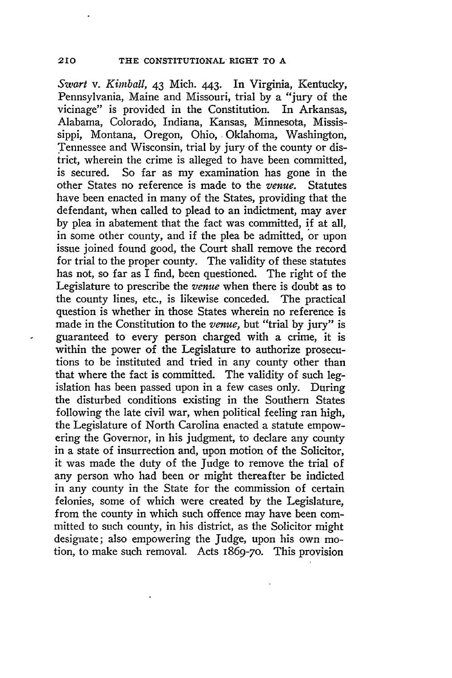*Swart v. Kimball,* 43 Mich. 443. In Virginia, Kentucky, Pennsylvania, Maine and Missouri, trial by a "jury of the vicinage" is provided in the Constitution. In Arkansas, Alabama, Colorado, Indiana, Kansas, Minnesota, Mississippi, Montana, Oregon, Ohio, Oklahoma, Washington, Tennessee and Wisconsin, trial by jury of the county or district, wherein the crime is alleged to have been committed, is secured. So far as my examination has gone in the other States no reference is made to the *venue.* Statutes have been enacted in many of the States, providing that the defendant, when called to plead to an indictment, may aver by plea in abatement that the fact was committed, if at all, in some other county, and if the plea be admitted, or upon issue joined found good, the Court shall remove the record for trial to the proper county. The validity of these statutes has not, so far as I find, been questioned. The right of the Legislature to prescribe the *venue* when there is doubt as to the county lines, etc., is likewise conceded. The practical question is whether in those States wherein no reference is made in the Constitution to the *venue,* but "trial by jury" is guaranteed to every person charged with a crime, it is within the power of the Legislature to authorize prosecutions to be instituted and tried in any county other than that where the fact is committed. The validity of such legislation has been passed upon in a few cases only. During the disturbed conditions existing in the Southern States following the late civil war, when political feeling ran high, the Legislature of North Carolina enacted a statute empowering the Governor, in his judgment, to declare any county in a state of insurrection and, upon motion of the Solicitor, it was made the duty of the Judge to remove the trial of any person who had been or might thereafter be indicted in any county in the State for the commission of certain felonies, some of which were created by the Legislature, from the county in which such offence may have been committed to such county, in his district, as the Solicitor might designate; also empowering the Judge, upon his own motion, to make such removal. Acts 1869-7o. This provision

 $\lambda$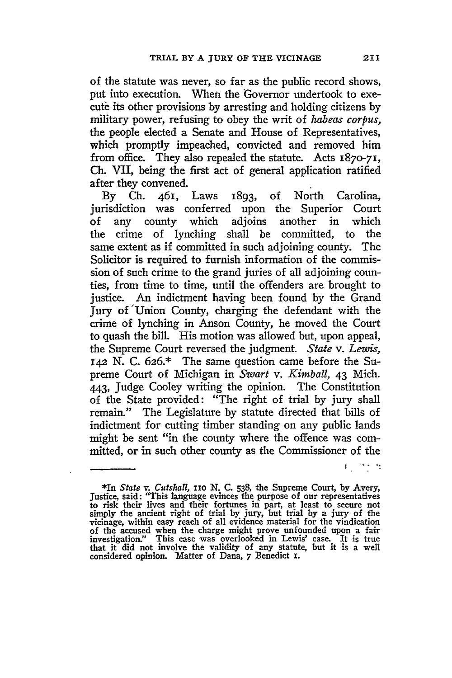of the statute was never, so far as the public record shows, put into execution. When the Governor undertook to execute its other provisions by arresting and holding citizens by military power, refusing to obey the writ of *habeas corpus,* the people elected a Senate and House of Representatives, which promptly impeached, convicted and removed him from office. They also repealed the statute. Acts 187o-71, Ch. VII, being the first act of general application ratified after they convened.

By Ch. 461, Laws 1893, of North Carolina, jurisdiction was conferred upon the Superior Court of any county which adjoins another in which the crime of lynching shall be committed, to the same extent as if committed in such adjoining county. The Solicitor is required to furnish information of the commission of such crime to the grand juries of all adjoining counties, from time to time, until the offenders are brought to justice. An indictment having been found by the Grand Jury of 'Union County, charging the defendant with the crime of lynching in Anson County, he moved the Court to quash the bill. His motion was allowed but, upon appeal, the Supreme Court reversed the judgment. *State v. Lewis, i42* N. C. *626.\** The same question came before the Supreme Court of Michigan in *Swart v. Kimball,* 43 Mich. 443, Judge Cooley writing the opinion. The Constitution of the State provided: "The right of trial by jury shall remain." The Legislature by statute directed that bills of indictment for cutting timber standing on any public lands might be sent "in the county where the offence was committed, or in such other county as the Commissioner of the

 $\Gamma = 12.5$  ,  $25$ 

<sup>\*</sup>In *State v. Cutshall, 11o* **N.** C. 538, the Supreme Court, **by** Avery, Justice, said: "This language evinces the purpose of our representatives to risk their lives and their fortunes in part, at least to secure not simply the ancient right of trial by jury, but trial by a jury of the vicinage, within easy reach of all evidence material for the vindication of the accused when the charge might prove unfounded upon a fair investigation." This case was overlooked in Lewis' case. It is true that it did not involve the validity of any statute, but it is a well considered opinion. Matter of Dana, **7** Benedict **i.**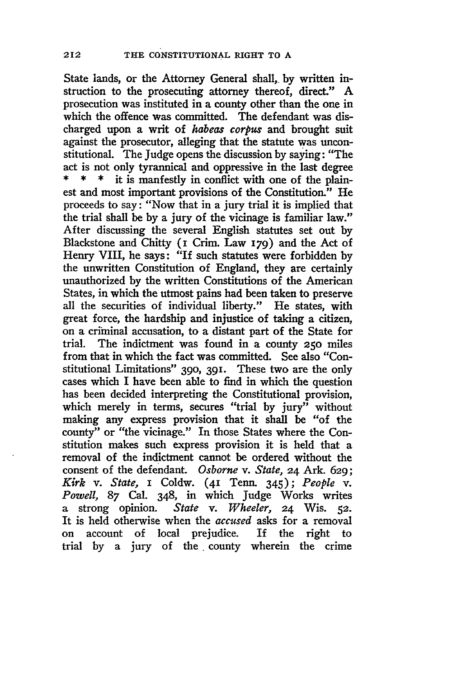State lands, or the Attorney General shall, by written instruction to the prosecuting attorney thereof, direct." A prosecution was instituted in a county other than the one in which the offence was committed. The defendant was discharged upon a writ of *habeas corpus* and brought suit against the prosecutor, alleging that the statute was unconstitutional. The Judge opens the discussion by saying: "The act is not only tyrannical and oppressive in the last degree **\* \* \*** it is manfestly in conflict with one of the plainest and most important provisions of the Constitution." He proceeds to say: "Now that in a jury trial it is implied that the trial shall be by a jury of the vicinage is familiar law." After discussing the several English statutes set out by Blackstone and Chitty (I Crim. Law **179)** and the Act of Henry VIII, he says: "If such statutes were forbidden by the unwritten Constitution of England, they are certainly unauthorized by the written Constitutions of the American States, in which the utmost pains had been taken to preserve all the securities of individual liberty." He states, with great force, the hardship and injustice of taking a citizen, on a criminal accusation, to a distant part of the State for trial. The indictment was found in a county **250** miles from that in which the fact was committed. See also "Constitutional Limitations" **390,** 391. These two are the only cases which I have been able to find in which the question has been decided interpreting the Constitutional provision, which merely in terms, secures "trial by jury" without making any express provision that it shall be "of the county" or "the vicinage." In those States where the Constitution makes such express provision it is held that a removal of the indictment cannot be ordered without the consent of the defendant. *Osborne v. State,* 24 Ark. 629; *Kirk v. State,* I Coldw. (4 Tenn. 345); *People v. Powell,* 87 Cal. 348, in which Judge Works writes a strong opinion. *State v. Wheeler,* 24 Wis. **52.** It is held otherwise when the *accused* asks for a removal on account of local prejudice. If the right to trial **by** a jury of the county wherein the crime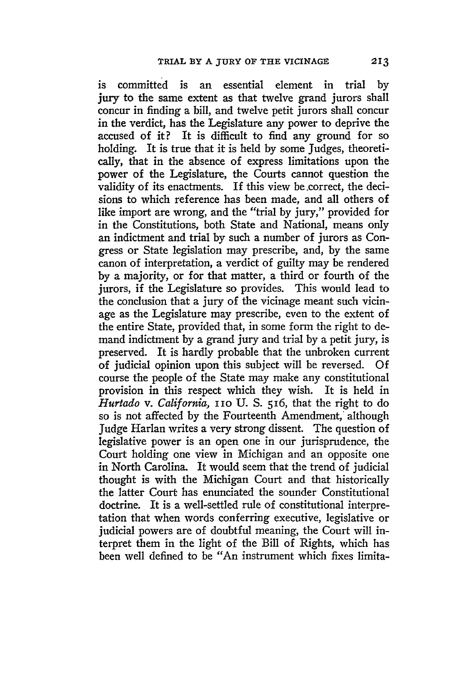is committed is an essential element in trial by jury to the same extent as that twelve grand jurors shall concur in finding a bill, and twelve petit jurors shall concur in the verdict, has the Legislature any power to deprive the accused of it? It is difficult to find any ground for so holding. It is true that it is held by some Judges, theoretically, that in the absence of express limitations upon the power of the Legislature, the Courts cannot question the validity of its enactments. If this view be.correct, the decisions to which reference has been made, and all others of like import are wrong, and the "trial by jury," provided for in the Constitutions, both State and National, means only an indictment and trial by such a number of jurors as Congress or State legislation may prescribe, and, by the same canon of interpretation, a verdict of guilty may be rendered by a majority, or for that matter, a third or fourth of the jurors, if the Legislature so provides. This would lead to the conclusion that a jury of the vicinage meant such vicinage as the Legislature may prescribe, even to the extent of the entire State, provided that, in some form the right to demand indictment by a grand jury and trial by a petit jury, is preserved. It is hardly probable that the unbroken current of judicial opinion upon this subject will be reversed. Of course the people of the State may make any constitutional provision in this respect which they wish. It is held in *Hurtado v. California,* **110** U. S. 516, that the right to do so is not affected by the Fourteenth Amendment, although judge Harlan writes a very strong dissent. The question of legislative power is an open one in our jurisprudence, the Court holding one view in Michigan and an opposite one in North Carolina. It would seem that the trend of judicial thought is with the Michigan Court and that historically the latter Court has enunciated the sounder Constitutional doctrine. It is a well-settled rule of constitutional interpretation that when words conferring executive, legislative or judicial powers are of doubtful meaning, the Court will interpret them in the light of the Bill of Rights, which has been well defined to be "An instrument which fixes limita-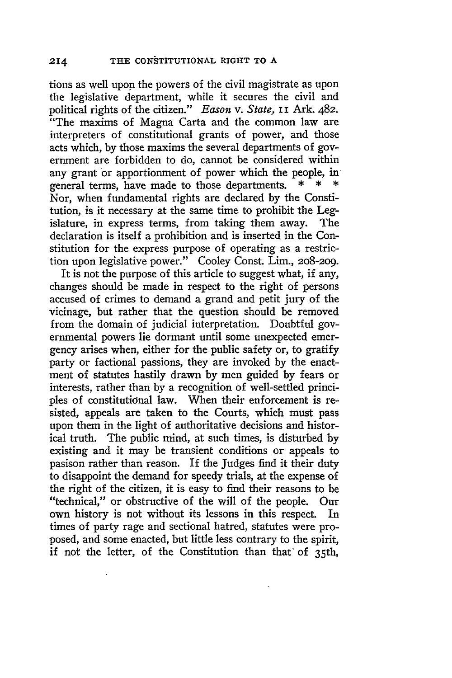tions as well upon the powers of the civil magistrate as upon the legislative department, while it secures the civil and political rights of the citizen." *Eason v. State,* ii Ark. 482. "The maxims of Magna Carta and the common law are interpreters of constitutional grants of power, and those acts which, by those maxims the several departments of government are forbidden to do, cannot be considered within any grant or apportionment of power which the people, in general terms, have made to those departments. **\* \* \*** Nor, when fundamental rights are declared by the Constitution, is it necessary at the same time to prohibit the Legislature, in express terms, from taking them away. The declaration is itself a prohibition and is inserted in the Constitution for the express purpose of operating as a restriction upon legislative power." Cooley Const. Lim., **2o8-20o9.**

It is not the purpose of this article to suggest what, if any, changes should be made in respect to the right of persons accused of crimes to demand a grand and petit jury of the vicinage, but rather that the question should be removed from the domain of judicial interpretation. Doubtful governmental powers lie dormant until some unexpected emergency arises when, either for the public safety or, to gratify party or factional passions, they are invoked by the enactment of statutes hastily drawn by men guided by fears or interests, rather than by a recognition of well-settled principles of constitutional law. When their enforcement is resisted, appeals are taken to the Courts, which must pass upon them in the light of authoritative decisions and historical truth. The public mind, at such times, is disturbed by existing and it may be transient conditions or appeals to pasison rather than reason. If the Judges find it their duty to disappoint the demand for speedy trials, at the expense of the right of the citizen, it is easy to find their reasons to be "technical," or obstructive of the will of the people. Our own history is not without its lessons in this respect. In times of party rage and sectional hatred, statutes were proposed, and some enacted, but little less contrary to the spirit, if not the letter, of the Constitution than that' of 35th,